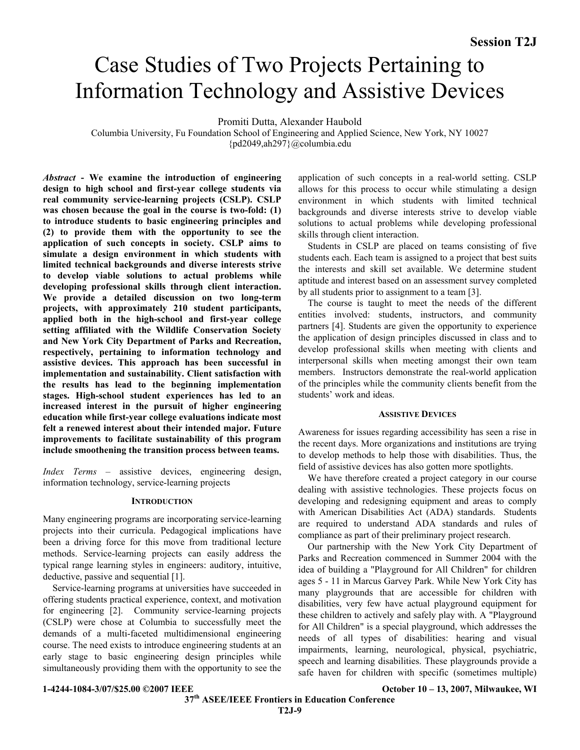# Case Studies of Two Projects Pertaining to Information Technology and Assistive Devices

Promiti Dutta, Alexander Haubold

Columbia University, Fu Foundation School of Engineering and Applied Science, New York, NY 10027 {pd2049,ah297}@columbia.edu

*Abstract* **- We examine the introduction of engineering design to high school and first-year college students via real community service-learning projects (CSLP). CSLP was chosen because the goal in the course is two-fold: (1) to introduce students to basic engineering principles and (2) to provide them with the opportunity to see the application of such concepts in society. CSLP aims to simulate a design environment in which students with limited technical backgrounds and diverse interests strive to develop viable solutions to actual problems while developing professional skills through client interaction. We provide a detailed discussion on two long-term projects, with approximately 210 student participants, applied both in the high-school and first-year college setting affiliated with the Wildlife Conservation Society and New York City Department of Parks and Recreation, respectively, pertaining to information technology and assistive devices. This approach has been successful in implementation and sustainability. Client satisfaction with the results has lead to the beginning implementation stages. High-school student experiences has led to an increased interest in the pursuit of higher engineering education while first-year college evaluations indicate most felt a renewed interest about their intended major. Future improvements to facilitate sustainability of this program include smoothening the transition process between teams.** 

*Index Terms* – assistive devices, engineering design, information technology, service-learning projects

#### **INTRODUCTION**

Many engineering programs are incorporating service-learning projects into their curricula. Pedagogical implications have been a driving force for this move from traditional lecture methods. Service-learning projects can easily address the typical range learning styles in engineers: auditory, intuitive, deductive, passive and sequential [1].

Service-learning programs at universities have succeeded in offering students practical experience, context, and motivation for engineering [2]. Community service-learning projects (CSLP) were chose at Columbia to successfully meet the demands of a multi-faceted multidimensional engineering course. The need exists to introduce engineering students at an early stage to basic engineering design principles while simultaneously providing them with the opportunity to see the

application of such concepts in a real-world setting. CSLP allows for this process to occur while stimulating a design environment in which students with limited technical backgrounds and diverse interests strive to develop viable solutions to actual problems while developing professional skills through client interaction.

Students in CSLP are placed on teams consisting of five students each. Each team is assigned to a project that best suits the interests and skill set available. We determine student aptitude and interest based on an assessment survey completed by all students prior to assignment to a team [3].

The course is taught to meet the needs of the different entities involved: students, instructors, and community partners [4]. Students are given the opportunity to experience the application of design principles discussed in class and to develop professional skills when meeting with clients and interpersonal skills when meeting amongst their own team members. Instructors demonstrate the real-world application of the principles while the community clients benefit from the students' work and ideas.

## **ASSISTIVE DEVICES**

Awareness for issues regarding accessibility has seen a rise in the recent days. More organizations and institutions are trying to develop methods to help those with disabilities. Thus, the field of assistive devices has also gotten more spotlights.

We have therefore created a project category in our course dealing with assistive technologies. These projects focus on developing and redesigning equipment and areas to comply with American Disabilities Act (ADA) standards. Students are required to understand ADA standards and rules of compliance as part of their preliminary project research.

Our partnership with the New York City Department of Parks and Recreation commenced in Summer 2004 with the idea of building a "Playground for All Children" for children ages 5 - 11 in Marcus Garvey Park. While New York City has many playgrounds that are accessible for children with disabilities, very few have actual playground equipment for these children to actively and safely play with. A "Playground for All Children" is a special playground, which addresses the needs of all types of disabilities: hearing and visual impairments, learning, neurological, physical, psychiatric, speech and learning disabilities. These playgrounds provide a safe haven for children with specific (sometimes multiple)

**1-4244-1084-3/07/\$25.00 ©2007 IEEE October 10 – 13, 2007, Milwaukee, WI**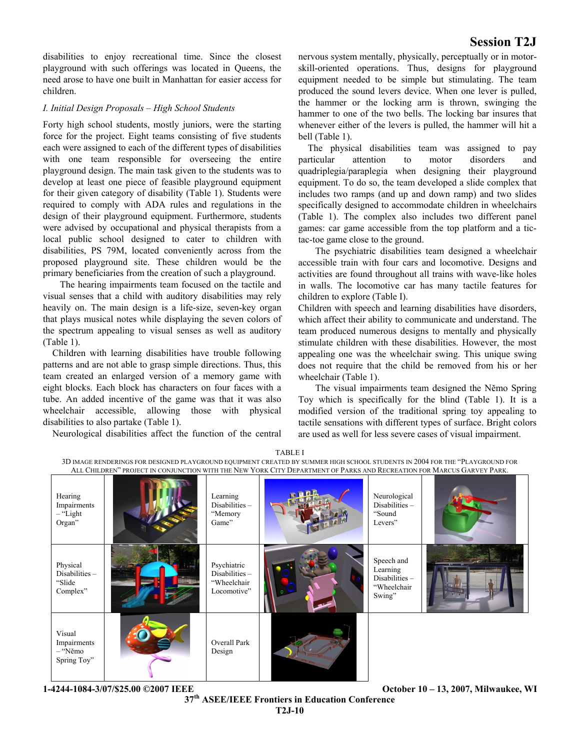# *I. Initial Design Proposals – High School Students*

Forty high school students, mostly juniors, were the starting force for the project. Eight teams consisting of five students each were assigned to each of the different types of disabilities with one team responsible for overseeing the entire playground design. The main task given to the students was to develop at least one piece of feasible playground equipment for their given category of disability (Table 1). Students were required to comply with ADA rules and regulations in the design of their playground equipment. Furthermore, students were advised by occupational and physical therapists from a local public school designed to cater to children with disabilities, PS 79M, located conveniently across from the proposed playground site. These children would be the primary beneficiaries from the creation of such a playground.

The hearing impairments team focused on the tactile and visual senses that a child with auditory disabilities may rely heavily on. The main design is a life-size, seven-key organ that plays musical notes while displaying the seven colors of the spectrum appealing to visual senses as well as auditory (Table 1).

Children with learning disabilities have trouble following patterns and are not able to grasp simple directions. Thus, this team created an enlarged version of a memory game with eight blocks. Each block has characters on four faces with a tube. An added incentive of the game was that it was also wheelchair accessible, allowing those with physical disabilities to also partake (Table 1).

Neurological disabilities affect the function of the central

nervous system mentally, physically, perceptually or in motorskill-oriented operations. Thus, designs for playground equipment needed to be simple but stimulating. The team produced the sound levers device. When one lever is pulled, the hammer or the locking arm is thrown, swinging the hammer to one of the two bells. The locking bar insures that whenever either of the levers is pulled, the hammer will hit a bell (Table 1).

The physical disabilities team was assigned to pay particular attention to motor disorders and quadriplegia/paraplegia when designing their playground equipment. To do so, the team developed a slide complex that includes two ramps (and up and down ramp) and two slides specifically designed to accommodate children in wheelchairs (Table 1). The complex also includes two different panel games: car game accessible from the top platform and a tictac-toe game close to the ground.

The psychiatric disabilities team designed a wheelchair accessible train with four cars and locomotive. Designs and activities are found throughout all trains with wave-like holes in walls. The locomotive car has many tactile features for children to explore (Table I).

Children with speech and learning disabilities have disorders, which affect their ability to communicate and understand. The team produced numerous designs to mentally and physically stimulate children with these disabilities. However, the most appealing one was the wheelchair swing. This unique swing does not require that the child be removed from his or her wheelchair (Table 1).

The visual impairments team designed the Nĕmo Spring Toy which is specifically for the blind (Table 1). It is a modified version of the traditional spring toy appealing to tactile sensations with different types of surface. Bright colors are used as well for less severe cases of visual impairment.



3D IMAGE RENDERINGS FOR DESIGNED PLAYGROUND EQUIPMENT CREATED BY SUMMER HIGH SCHOOL STUDENTS IN 2004 FOR THE "PLAYGROUND FOR ALL CHILDREN" PROJECT IN CONJUNCTION WITH THE NEW YORK CITY DEPARTMENT OF PARKS AND RECREATION FOR MARCUS GARVEY PARK.

TABLE I

**37th ASEE/IEEE Frontiers in Education Conference T2J-10**

**1-4244-1084-3/07/\$25.00 ©2007 IEEE October 10 – 13, 2007, Milwaukee, WI**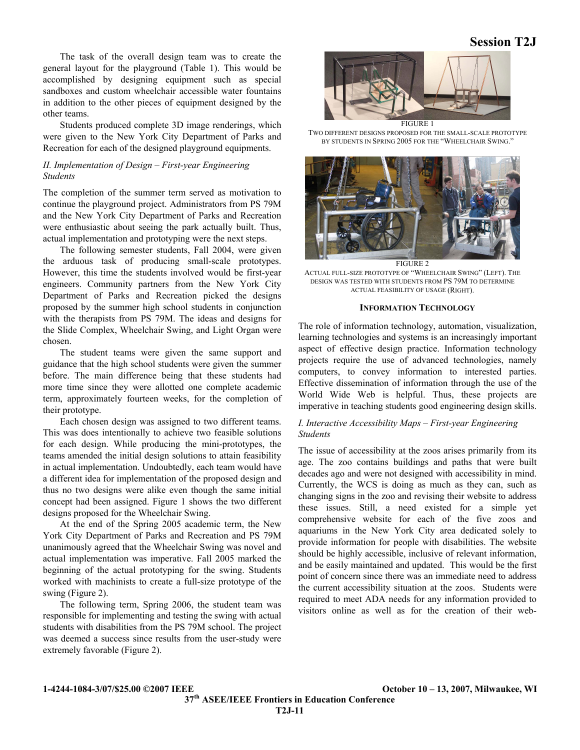The task of the overall design team was to create the general layout for the playground (Table 1). This would be accomplished by designing equipment such as special sandboxes and custom wheelchair accessible water fountains in addition to the other pieces of equipment designed by the other teams.

Students produced complete 3D image renderings, which were given to the New York City Department of Parks and Recreation for each of the designed playground equipments.

# *II. Implementation of Design – First-year Engineering Students*

The completion of the summer term served as motivation to continue the playground project. Administrators from PS 79M and the New York City Department of Parks and Recreation were enthusiastic about seeing the park actually built. Thus, actual implementation and prototyping were the next steps.

The following semester students, Fall 2004, were given the arduous task of producing small-scale prototypes. However, this time the students involved would be first-year engineers. Community partners from the New York City Department of Parks and Recreation picked the designs proposed by the summer high school students in conjunction with the therapists from PS 79M. The ideas and designs for the Slide Complex, Wheelchair Swing, and Light Organ were chosen.

The student teams were given the same support and guidance that the high school students were given the summer before. The main difference being that these students had more time since they were allotted one complete academic term, approximately fourteen weeks, for the completion of their prototype.

Each chosen design was assigned to two different teams. This was does intentionally to achieve two feasible solutions for each design. While producing the mini-prototypes, the teams amended the initial design solutions to attain feasibility in actual implementation. Undoubtedly, each team would have a different idea for implementation of the proposed design and thus no two designs were alike even though the same initial concept had been assigned. Figure 1 shows the two different designs proposed for the Wheelchair Swing.

At the end of the Spring 2005 academic term, the New York City Department of Parks and Recreation and PS 79M unanimously agreed that the Wheelchair Swing was novel and actual implementation was imperative. Fall 2005 marked the beginning of the actual prototyping for the swing. Students worked with machinists to create a full-size prototype of the swing (Figure 2).

The following term, Spring 2006, the student team was responsible for implementing and testing the swing with actual students with disabilities from the PS 79M school. The project was deemed a success since results from the user-study were extremely favorable (Figure 2).



TWO DIFFERENT DESIGNS PROPOSED FOR THE SMALL-SCALE PROTOTYPE BY STUDENTS IN SPRING 2005 FOR THE "WHEELCHAIR SWING."



ACTUAL FULL-SIZE PROTOTYPE OF "WHEELCHAIR SWING" (LEFT). THE DESIGN WAS TESTED WITH STUDENTS FROM PS 79M TO DETERMINE ACTUAL FEASIBILITY OF USAGE (RIGHT).

#### **INFORMATION TECHNOLOGY**

The role of information technology, automation, visualization, learning technologies and systems is an increasingly important aspect of effective design practice. Information technology projects require the use of advanced technologies, namely computers, to convey information to interested parties. Effective dissemination of information through the use of the World Wide Web is helpful. Thus, these projects are imperative in teaching students good engineering design skills.

# *I. Interactive Accessibility Maps – First-year Engineering Students*

The issue of accessibility at the zoos arises primarily from its age. The zoo contains buildings and paths that were built decades ago and were not designed with accessibility in mind. Currently, the WCS is doing as much as they can, such as changing signs in the zoo and revising their website to address these issues. Still, a need existed for a simple yet comprehensive website for each of the five zoos and aquariums in the New York City area dedicated solely to provide information for people with disabilities. The website should be highly accessible, inclusive of relevant information, and be easily maintained and updated. This would be the first point of concern since there was an immediate need to address the current accessibility situation at the zoos. Students were required to meet ADA needs for any information provided to visitors online as well as for the creation of their web-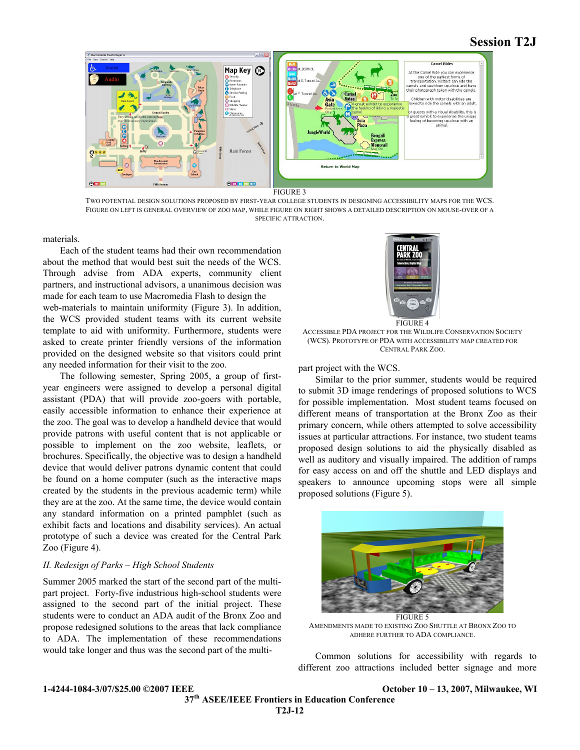# **Session T2J**



TWO POTENTIAL DESIGN SOLUTIONS PROPOSED BY FIRST-YEAR COLLEGE STUDENTS IN DESIGNING ACCESSIBILITY MAPS FOR THE WCS. FIGURE ON LEFT IS GENERAL OVERVIEW OF ZOO MAP, WHILE FIGURE ON RIGHT SHOWS A DETAILED DESCRIPTION ON MOUSE-OVER OF A SPECIFIC ATTRACTION.

materials.

Each of the student teams had their own recommendation about the method that would best suit the needs of the WCS. Through advise from ADA experts, community client partners, and instructional advisors, a unanimous decision was made for each team to use Macromedia Flash to design the

web-materials to maintain uniformity (Figure 3). In addition, the WCS provided student teams with its current website template to aid with uniformity. Furthermore, students were asked to create printer friendly versions of the information provided on the designed website so that visitors could print any needed information for their visit to the zoo.

The following semester, Spring 2005, a group of firstyear engineers were assigned to develop a personal digital assistant (PDA) that will provide zoo-goers with portable, easily accessible information to enhance their experience at the zoo. The goal was to develop a handheld device that would provide patrons with useful content that is not applicable or possible to implement on the zoo website, leaflets, or brochures. Specifically, the objective was to design a handheld device that would deliver patrons dynamic content that could be found on a home computer (such as the interactive maps created by the students in the previous academic term) while they are at the zoo. At the same time, the device would contain any standard information on a printed pamphlet (such as exhibit facts and locations and disability services). An actual prototype of such a device was created for the Central Park Zoo (Figure 4).

## *II. Redesign of Parks – High School Students*

Summer 2005 marked the start of the second part of the multipart project. Forty-five industrious high-school students were assigned to the second part of the initial project. These students were to conduct an ADA audit of the Bronx Zoo and propose redesigned solutions to the areas that lack compliance to ADA. The implementation of these recommendations would take longer and thus was the second part of the multi-



ACCESSIBLE PDA PROJECT FOR THE WILDLIFE CONSERVATION SOCIETY (WCS). PROTOTYPE OF PDA WITH ACCESSIBILITY MAP CREATED FOR CENTRAL PARK ZOO.

part project with the WCS.

Similar to the prior summer, students would be required to submit 3D image renderings of proposed solutions to WCS for possible implementation. Most student teams focused on different means of transportation at the Bronx Zoo as their primary concern, while others attempted to solve accessibility issues at particular attractions. For instance, two student teams proposed design solutions to aid the physically disabled as well as auditory and visually impaired. The addition of ramps for easy access on and off the shuttle and LED displays and speakers to announce upcoming stops were all simple proposed solutions (Figure 5).



FIGURE 5 AMENDMENTS MADE TO EXISTING ZOO SHUTTLE AT BRONX ZOO TO ADHERE FURTHER TO ADA COMPLIANCE.

Common solutions for accessibility with regards to different zoo attractions included better signage and more

# **1-4244-1084-3/07/\$25.00 ©2007 IEEE October 10 – 13, 2007, Milwaukee, WI**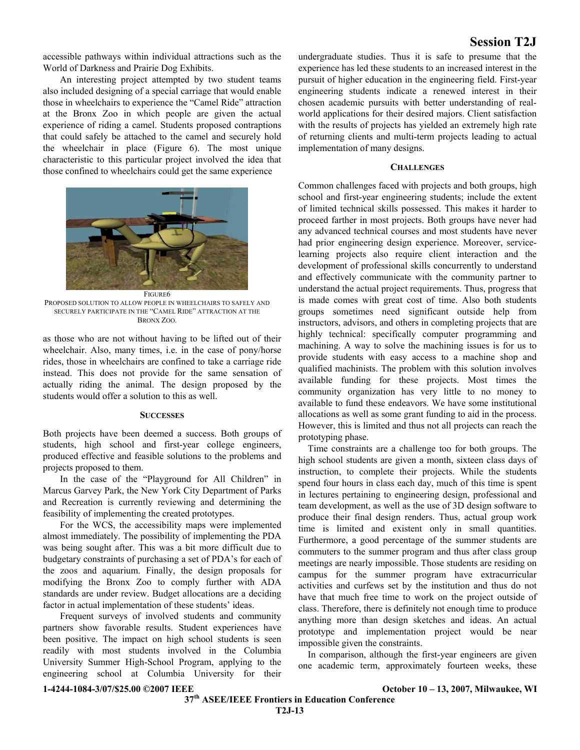# **Session T2J**

accessible pathways within individual attractions such as the World of Darkness and Prairie Dog Exhibits.

An interesting project attempted by two student teams also included designing of a special carriage that would enable those in wheelchairs to experience the "Camel Ride" attraction at the Bronx Zoo in which people are given the actual experience of riding a camel. Students proposed contraptions that could safely be attached to the camel and securely hold the wheelchair in place (Figure 6). The most unique characteristic to this particular project involved the idea that those confined to wheelchairs could get the same experience



FIGURE6 PROPOSED SOLUTION TO ALLOW PEOPLE IN WHEELCHAIRS TO SAFELY AND SECURELY PARTICIPATE IN THE "CAMEL RIDE" ATTRACTION AT THE BRONX ZOO.

as those who are not without having to be lifted out of their wheelchair. Also, many times, i.e. in the case of pony/horse rides, those in wheelchairs are confined to take a carriage ride instead. This does not provide for the same sensation of actually riding the animal. The design proposed by the students would offer a solution to this as well.

#### **SUCCESSES**

Both projects have been deemed a success. Both groups of students, high school and first-year college engineers, produced effective and feasible solutions to the problems and projects proposed to them.

In the case of the "Playground for All Children" in Marcus Garvey Park, the New York City Department of Parks and Recreation is currently reviewing and determining the feasibility of implementing the created prototypes.

For the WCS, the accessibility maps were implemented almost immediately. The possibility of implementing the PDA was being sought after. This was a bit more difficult due to budgetary constraints of purchasing a set of PDA's for each of the zoos and aquarium. Finally, the design proposals for modifying the Bronx Zoo to comply further with ADA standards are under review. Budget allocations are a deciding factor in actual implementation of these students' ideas.

Frequent surveys of involved students and community partners show favorable results. Student experiences have been positive. The impact on high school students is seen readily with most students involved in the Columbia University Summer High-School Program, applying to the engineering school at Columbia University for their undergraduate studies. Thus it is safe to presume that the experience has led these students to an increased interest in the pursuit of higher education in the engineering field. First-year engineering students indicate a renewed interest in their chosen academic pursuits with better understanding of realworld applications for their desired majors. Client satisfaction with the results of projects has yielded an extremely high rate of returning clients and multi-term projects leading to actual implementation of many designs.

#### **CHALLENGES**

Common challenges faced with projects and both groups, high school and first-year engineering students; include the extent of limited technical skills possessed. This makes it harder to proceed farther in most projects. Both groups have never had any advanced technical courses and most students have never had prior engineering design experience. Moreover, servicelearning projects also require client interaction and the development of professional skills concurrently to understand and effectively communicate with the community partner to understand the actual project requirements. Thus, progress that is made comes with great cost of time. Also both students groups sometimes need significant outside help from instructors, advisors, and others in completing projects that are highly technical: specifically computer programming and machining. A way to solve the machining issues is for us to provide students with easy access to a machine shop and qualified machinists. The problem with this solution involves available funding for these projects. Most times the community organization has very little to no money to available to fund these endeavors. We have some institutional allocations as well as some grant funding to aid in the process. However, this is limited and thus not all projects can reach the prototyping phase.

Time constraints are a challenge too for both groups. The high school students are given a month, sixteen class days of instruction, to complete their projects. While the students spend four hours in class each day, much of this time is spent in lectures pertaining to engineering design, professional and team development, as well as the use of 3D design software to produce their final design renders. Thus, actual group work time is limited and existent only in small quantities. Furthermore, a good percentage of the summer students are commuters to the summer program and thus after class group meetings are nearly impossible. Those students are residing on campus for the summer program have extracurricular activities and curfews set by the institution and thus do not have that much free time to work on the project outside of class. Therefore, there is definitely not enough time to produce anything more than design sketches and ideas. An actual prototype and implementation project would be near impossible given the constraints.

In comparison, although the first-year engineers are given one academic term, approximately fourteen weeks, these